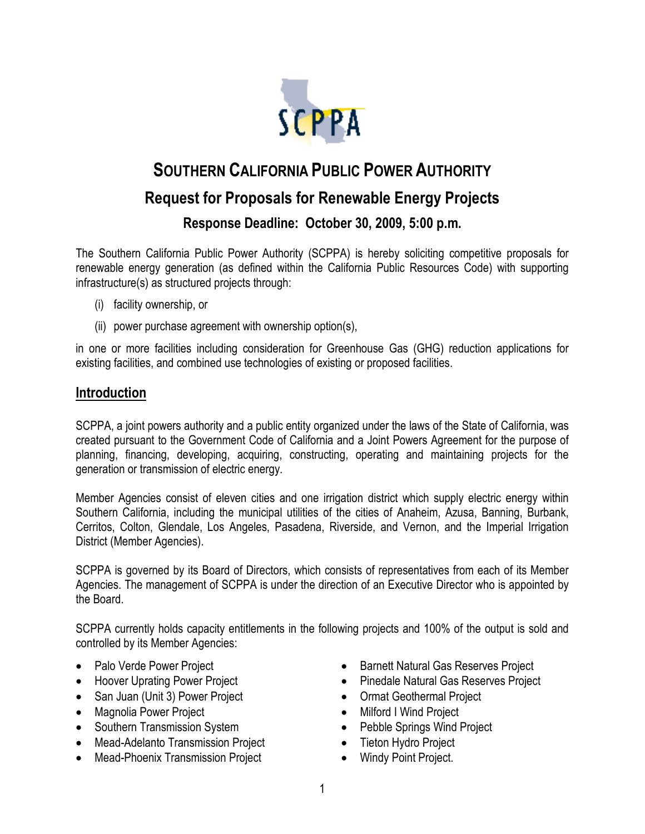

# **SOUTHERN CALIFORNIA PUBLIC POWER AUTHORITY Request for Proposals for Renewable Energy Projects Response Deadline: October 30, 2009, 5:00 p.m.**

The Southern California Public Power Authority (SCPPA) is hereby soliciting competitive proposals for renewable energy generation (as defined within the California Public Resources Code) with supporting infrastructure(s) as structured projects through:

- (i) facility ownership, or
- (ii) power purchase agreement with ownership option(s),

in one or more facilities including consideration for Greenhouse Gas (GHG) reduction applications for existing facilities, and combined use technologies of existing or proposed facilities.

#### **Introduction**

SCPPA, a joint powers authority and a public entity organized under the laws of the State of California, was created pursuant to the Government Code of California and a Joint Powers Agreement for the purpose of planning, financing, developing, acquiring, constructing, operating and maintaining projects for the generation or transmission of electric energy.

Member Agencies consist of eleven cities and one irrigation district which supply electric energy within Southern California, including the municipal utilities of the cities of Anaheim, Azusa, Banning, Burbank, Cerritos, Colton, Glendale, Los Angeles, Pasadena, Riverside, and Vernon, and the Imperial Irrigation District (Member Agencies).

SCPPA is governed by its Board of Directors, which consists of representatives from each of its Member Agencies. The management of SCPPA is under the direction of an Executive Director who is appointed by the Board.

SCPPA currently holds capacity entitlements in the following projects and 100% of the output is sold and controlled by its Member Agencies:

- Palo Verde Power Project
- Hoover Uprating Power Project
- San Juan (Unit 3) Power Project
- Magnolia Power Project
- Southern Transmission System
- Mead-Adelanto Transmission Project
- Mead-Phoenix Transmission Project
- Barnett Natural Gas Reserves Project
- Pinedale Natural Gas Reserves Project
- Ormat Geothermal Project
- Milford I Wind Project
- Pebble Springs Wind Project
- Tieton Hydro Project
- Windy Point Project.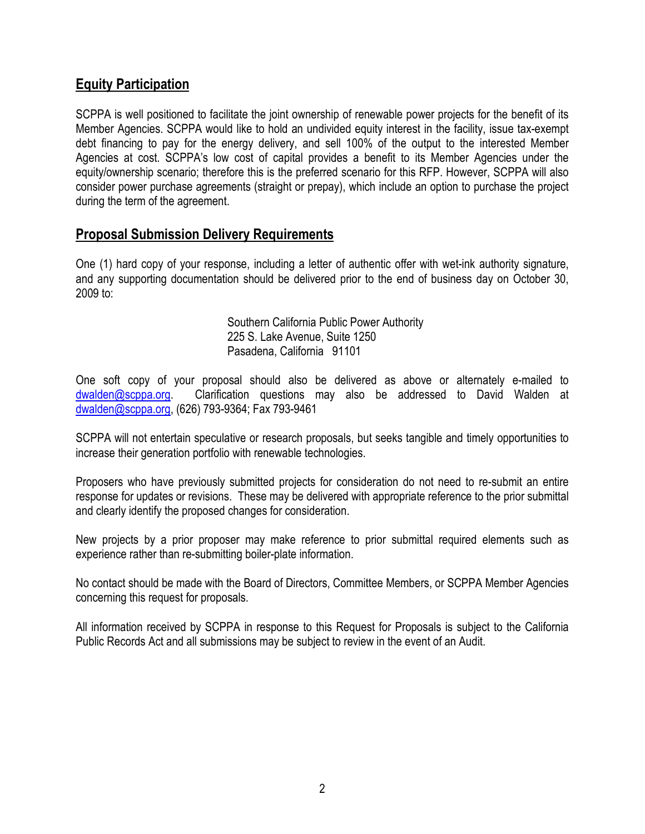### **Equity Participation**

SCPPA is well positioned to facilitate the joint ownership of renewable power projects for the benefit of its Member Agencies. SCPPA would like to hold an undivided equity interest in the facility, issue tax-exempt debt financing to pay for the energy delivery, and sell 100% of the output to the interested Member Agencies at cost. SCPPA's low cost of capital provides a benefit to its Member Agencies under the equity/ownership scenario; therefore this is the preferred scenario for this RFP. However, SCPPA will also consider power purchase agreements (straight or prepay), which include an option to purchase the project during the term of the agreement.

#### **Proposal Submission Delivery Requirements**

One (1) hard copy of your response, including a letter of authentic offer with wet-ink authority signature, and any supporting documentation should be delivered prior to the end of business day on October 30, 2009 to:

> Southern California Public Power Authority 225 S. Lake Avenue, Suite 1250 Pasadena, California 91101

One soft copy of your proposal should also be delivered as above or alternately e-mailed to dwalden@scppa.org. Clarification questions may also be addressed to David Walden at dwalden@scppa.org, (626) 793-9364; Fax 793-9461

SCPPA will not entertain speculative or research proposals, but seeks tangible and timely opportunities to increase their generation portfolio with renewable technologies.

Proposers who have previously submitted projects for consideration do not need to re-submit an entire response for updates or revisions. These may be delivered with appropriate reference to the prior submittal and clearly identify the proposed changes for consideration.

New projects by a prior proposer may make reference to prior submittal required elements such as experience rather than re-submitting boiler-plate information.

No contact should be made with the Board of Directors, Committee Members, or SCPPA Member Agencies concerning this request for proposals.

All information received by SCPPA in response to this Request for Proposals is subject to the California Public Records Act and all submissions may be subject to review in the event of an Audit.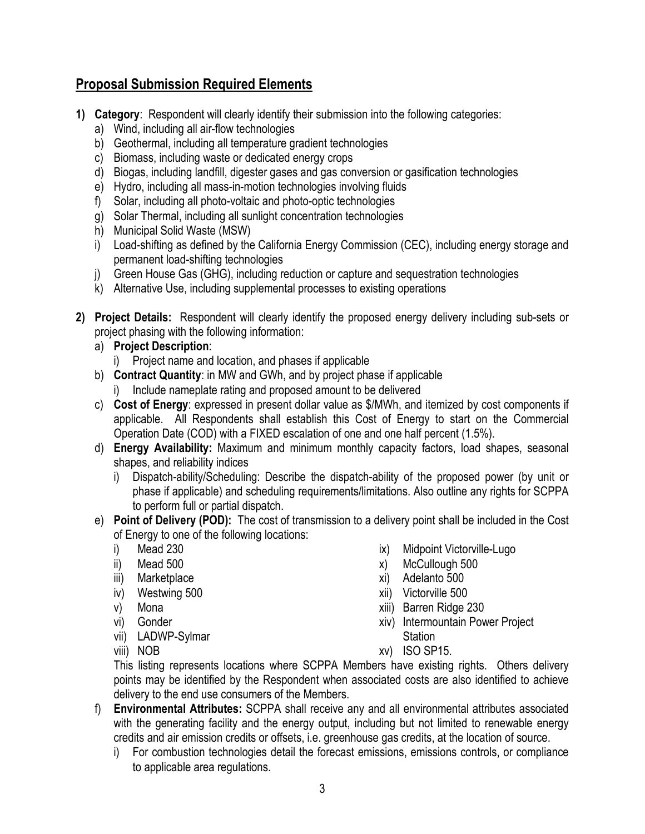## **Proposal Submission Required Elements**

- **1) Category**: Respondent will clearly identify their submission into the following categories:
	- a) Wind, including all air-flow technologies
	- b) Geothermal, including all temperature gradient technologies
	- c) Biomass, including waste or dedicated energy crops
	- d) Biogas, including landfill, digester gases and gas conversion or gasification technologies
	- e) Hydro, including all mass-in-motion technologies involving fluids
	- f) Solar, including all photo-voltaic and photo-optic technologies
	- g) Solar Thermal, including all sunlight concentration technologies
	- h) Municipal Solid Waste (MSW)
	- i) Load-shifting as defined by the California Energy Commission (CEC), including energy storage and permanent load-shifting technologies
	- j) Green House Gas (GHG), including reduction or capture and sequestration technologies
	- k) Alternative Use, including supplemental processes to existing operations
- **2) Project Details:** Respondent will clearly identify the proposed energy delivery including sub-sets or project phasing with the following information:
	- a) **Project Description**:
		- i) Project name and location, and phases if applicable
	- b) **Contract Quantity**: in MW and GWh, and by project phase if applicable
		- i) Include nameplate rating and proposed amount to be delivered
	- c) **Cost of Energy**: expressed in present dollar value as \$/MWh, and itemized by cost components if applicable. All Respondents shall establish this Cost of Energy to start on the Commercial Operation Date (COD) with a FIXED escalation of one and one half percent (1.5%).
	- d) **Energy Availability:** Maximum and minimum monthly capacity factors, load shapes, seasonal shapes, and reliability indices
		- i) Dispatch-ability/Scheduling: Describe the dispatch-ability of the proposed power (by unit or phase if applicable) and scheduling requirements/limitations. Also outline any rights for SCPPA to perform full or partial dispatch.
	- e) **Point of Delivery (POD):** The cost of transmission to a delivery point shall be included in the Cost of Energy to one of the following locations:
		- i) Mead 230
		- ii) Mead 500
		- iii) Marketplace
		- iv) Westwing 500
		- v) Mona
		- vi) Gonder
		- vii) LADWP-Sylmar
		- viii) NOB
- ix) Midpoint Victorville-Lugo
- x) McCullough 500
- xi) Adelanto 500
- xii) Victorville 500
- xiii) Barren Ridge 230
- xiv) Intermountain Power Project **Station**
- xv) ISO SP15.

This listing represents locations where SCPPA Members have existing rights. Others delivery points may be identified by the Respondent when associated costs are also identified to achieve delivery to the end use consumers of the Members.

- f) **Environmental Attributes:** SCPPA shall receive any and all environmental attributes associated with the generating facility and the energy output, including but not limited to renewable energy credits and air emission credits or offsets, i.e. greenhouse gas credits, at the location of source.
	- i) For combustion technologies detail the forecast emissions, emissions controls, or compliance to applicable area regulations.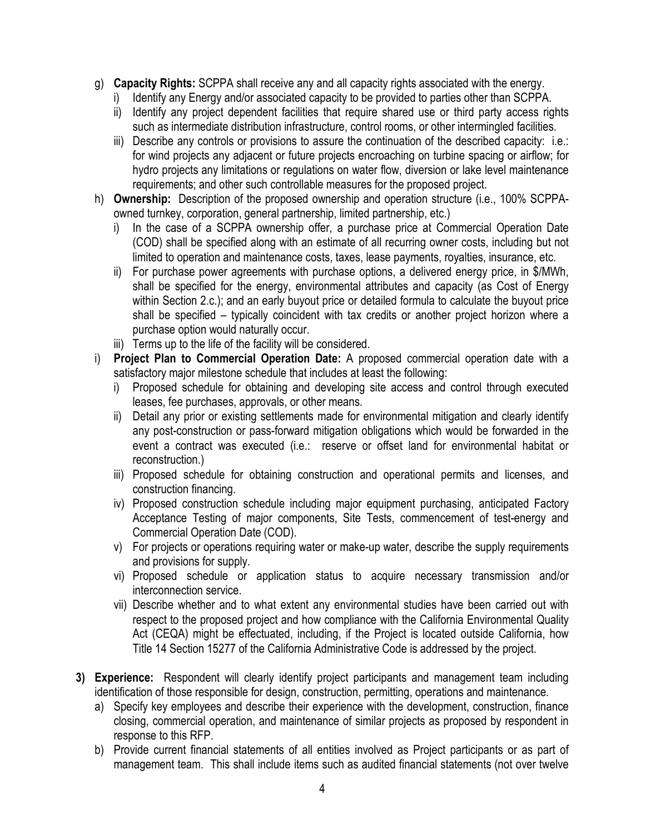- g) **Capacity Rights:** SCPPA shall receive any and all capacity rights associated with the energy.
	- i) Identify any Energy and/or associated capacity to be provided to parties other than SCPPA.
	- ii) Identify any project dependent facilities that require shared use or third party access rights such as intermediate distribution infrastructure, control rooms, or other intermingled facilities.
	- iii) Describe any controls or provisions to assure the continuation of the described capacity: i.e.: for wind projects any adjacent or future projects encroaching on turbine spacing or airflow; for hydro projects any limitations or regulations on water flow, diversion or lake level maintenance requirements; and other such controllable measures for the proposed project.
- h) **Ownership:** Description of the proposed ownership and operation structure (i.e., 100% SCPPAowned turnkey, corporation, general partnership, limited partnership, etc.)
	- i) In the case of a SCPPA ownership offer, a purchase price at Commercial Operation Date (COD) shall be specified along with an estimate of all recurring owner costs, including but not limited to operation and maintenance costs, taxes, lease payments, royalties, insurance, etc.
	- ii) For purchase power agreements with purchase options, a delivered energy price, in \$/MWh, shall be specified for the energy, environmental attributes and capacity (as Cost of Energy within Section 2.c.); and an early buyout price or detailed formula to calculate the buyout price shall be specified – typically coincident with tax credits or another project horizon where a purchase option would naturally occur.
	- iii) Terms up to the life of the facility will be considered.
- i) **Project Plan to Commercial Operation Date:** A proposed commercial operation date with a satisfactory major milestone schedule that includes at least the following:
	- i) Proposed schedule for obtaining and developing site access and control through executed leases, fee purchases, approvals, or other means.
	- ii) Detail any prior or existing settlements made for environmental mitigation and clearly identify any post-construction or pass-forward mitigation obligations which would be forwarded in the event a contract was executed (i.e.: reserve or offset land for environmental habitat or reconstruction.)
	- iii) Proposed schedule for obtaining construction and operational permits and licenses, and construction financing.
	- iv) Proposed construction schedule including major equipment purchasing, anticipated Factory Acceptance Testing of major components, Site Tests, commencement of test-energy and Commercial Operation Date (COD).
	- v) For projects or operations requiring water or make-up water, describe the supply requirements and provisions for supply.
	- vi) Proposed schedule or application status to acquire necessary transmission and/or interconnection service.
	- vii) Describe whether and to what extent any environmental studies have been carried out with respect to the proposed project and how compliance with the California Environmental Quality Act (CEQA) might be effectuated, including, if the Project is located outside California, how Title 14 Section 15277 of the California Administrative Code is addressed by the project.
- **3) Experience:** Respondent will clearly identify project participants and management team including identification of those responsible for design, construction, permitting, operations and maintenance.
	- a) Specify key employees and describe their experience with the development, construction, finance closing, commercial operation, and maintenance of similar projects as proposed by respondent in response to this RFP.
	- b) Provide current financial statements of all entities involved as Project participants or as part of management team. This shall include items such as audited financial statements (not over twelve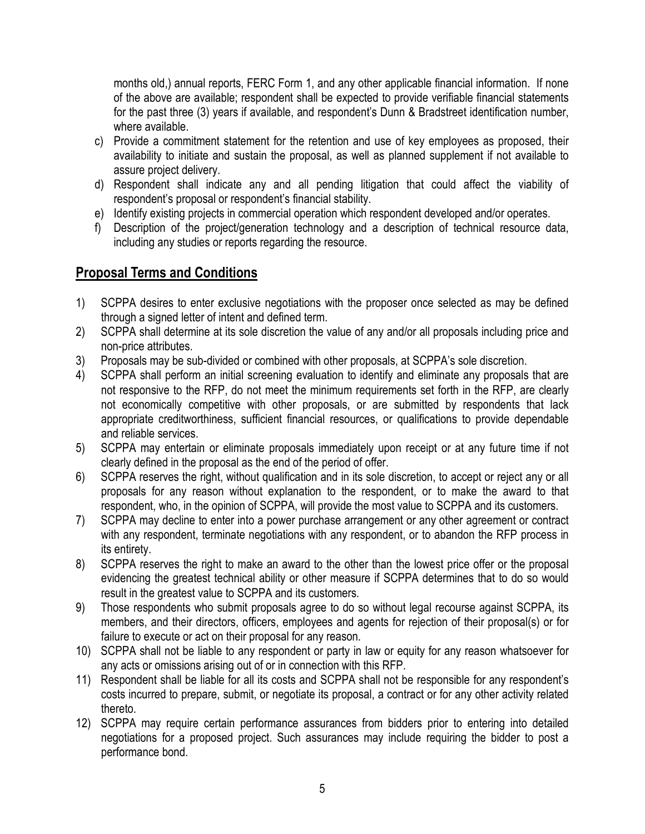months old,) annual reports, FERC Form 1, and any other applicable financial information. If none of the above are available; respondent shall be expected to provide verifiable financial statements for the past three (3) years if available, and respondent's Dunn & Bradstreet identification number, where available.

- c) Provide a commitment statement for the retention and use of key employees as proposed, their availability to initiate and sustain the proposal, as well as planned supplement if not available to assure project delivery.
- d) Respondent shall indicate any and all pending litigation that could affect the viability of respondent's proposal or respondent's financial stability.
- e) Identify existing projects in commercial operation which respondent developed and/or operates.
- f) Description of the project/generation technology and a description of technical resource data, including any studies or reports regarding the resource.

## **Proposal Terms and Conditions**

- 1) SCPPA desires to enter exclusive negotiations with the proposer once selected as may be defined through a signed letter of intent and defined term.
- 2) SCPPA shall determine at its sole discretion the value of any and/or all proposals including price and non-price attributes.
- 3) Proposals may be sub-divided or combined with other proposals, at SCPPA's sole discretion.
- 4) SCPPA shall perform an initial screening evaluation to identify and eliminate any proposals that are not responsive to the RFP, do not meet the minimum requirements set forth in the RFP, are clearly not economically competitive with other proposals, or are submitted by respondents that lack appropriate creditworthiness, sufficient financial resources, or qualifications to provide dependable and reliable services.
- 5) SCPPA may entertain or eliminate proposals immediately upon receipt or at any future time if not clearly defined in the proposal as the end of the period of offer.
- 6) SCPPA reserves the right, without qualification and in its sole discretion, to accept or reject any or all proposals for any reason without explanation to the respondent, or to make the award to that respondent, who, in the opinion of SCPPA, will provide the most value to SCPPA and its customers.
- 7) SCPPA may decline to enter into a power purchase arrangement or any other agreement or contract with any respondent, terminate negotiations with any respondent, or to abandon the RFP process in its entirety.
- 8) SCPPA reserves the right to make an award to the other than the lowest price offer or the proposal evidencing the greatest technical ability or other measure if SCPPA determines that to do so would result in the greatest value to SCPPA and its customers.
- 9) Those respondents who submit proposals agree to do so without legal recourse against SCPPA, its members, and their directors, officers, employees and agents for rejection of their proposal(s) or for failure to execute or act on their proposal for any reason.
- 10) SCPPA shall not be liable to any respondent or party in law or equity for any reason whatsoever for any acts or omissions arising out of or in connection with this RFP.
- 11) Respondent shall be liable for all its costs and SCPPA shall not be responsible for any respondent's costs incurred to prepare, submit, or negotiate its proposal, a contract or for any other activity related thereto.
- 12) SCPPA may require certain performance assurances from bidders prior to entering into detailed negotiations for a proposed project. Such assurances may include requiring the bidder to post a performance bond.